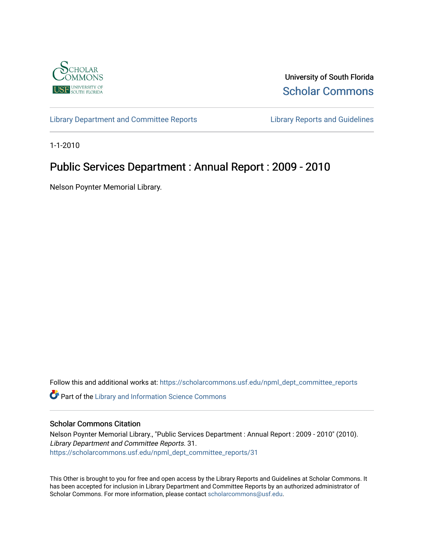

University of South Florida [Scholar Commons](https://scholarcommons.usf.edu/) 

[Library Department and Committee Reports](https://scholarcommons.usf.edu/npml_dept_committee_reports) [Library Reports and Guidelines](https://scholarcommons.usf.edu/npml_reports_guidelines_instruct_materials) 

1-1-2010

# Public Services Department : Annual Report : 2009 - 2010

Nelson Poynter Memorial Library.

Follow this and additional works at: [https://scholarcommons.usf.edu/npml\\_dept\\_committee\\_reports](https://scholarcommons.usf.edu/npml_dept_committee_reports?utm_source=scholarcommons.usf.edu%2Fnpml_dept_committee_reports%2F31&utm_medium=PDF&utm_campaign=PDFCoverPages)

Part of the [Library and Information Science Commons](http://network.bepress.com/hgg/discipline/1018?utm_source=scholarcommons.usf.edu%2Fnpml_dept_committee_reports%2F31&utm_medium=PDF&utm_campaign=PDFCoverPages) 

## Scholar Commons Citation

Nelson Poynter Memorial Library., "Public Services Department : Annual Report : 2009 - 2010" (2010). Library Department and Committee Reports. 31. [https://scholarcommons.usf.edu/npml\\_dept\\_committee\\_reports/31](https://scholarcommons.usf.edu/npml_dept_committee_reports/31?utm_source=scholarcommons.usf.edu%2Fnpml_dept_committee_reports%2F31&utm_medium=PDF&utm_campaign=PDFCoverPages) 

This Other is brought to you for free and open access by the Library Reports and Guidelines at Scholar Commons. It has been accepted for inclusion in Library Department and Committee Reports by an authorized administrator of Scholar Commons. For more information, please contact [scholarcommons@usf.edu](mailto:scholarcommons@usf.edu).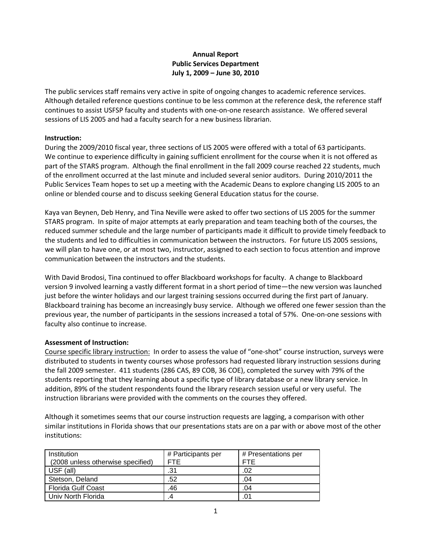## **Annual Report Public Services Department July 1, 2009 – June 30, 2010**

The public services staff remains very active in spite of ongoing changes to academic reference services. Although detailed reference questions continue to be less common at the reference desk, the reference staff continues to assist USFSP faculty and students with one-on-one research assistance. We offered several sessions of LIS 2005 and had a faculty search for a new business librarian.

## **Instruction:**

During the 2009/2010 fiscal year, three sections of LIS 2005 were offered with a total of 63 participants. We continue to experience difficulty in gaining sufficient enrollment for the course when it is not offered as part of the STARS program. Although the final enrollment in the fall 2009 course reached 22 students, much of the enrollment occurred at the last minute and included several senior auditors. During 2010/2011 the Public Services Team hopes to set up a meeting with the Academic Deans to explore changing LIS 2005 to an online or blended course and to discuss seeking General Education status for the course.

Kaya van Beynen, Deb Henry, and Tina Neville were asked to offer two sections of LIS 2005 for the summer STARS program. In spite of major attempts at early preparation and team teaching both of the courses, the reduced summer schedule and the large number of participants made it difficult to provide timely feedback to the students and led to difficulties in communication between the instructors. For future LIS 2005 sessions, we will plan to have one, or at most two, instructor, assigned to each section to focus attention and improve communication between the instructors and the students.

With David Brodosi, Tina continued to offer Blackboard workshops for faculty. A change to Blackboard version 9 involved learning a vastly different format in a short period of time—the new version was launched just before the winter holidays and our largest training sessions occurred during the first part of January. Blackboard training has become an increasingly busy service. Although we offered one fewer session than the previous year, the number of participants in the sessions increased a total of 57%. One-on-one sessions with faculty also continue to increase.

## **Assessment of Instruction:**

Course specific library instruction: In order to assess the value of "one-shot" course instruction, surveys were distributed to students in twenty courses whose professors had requested library instruction sessions during the fall 2009 semester. 411 students (286 CAS, 89 COB, 36 COE), completed the survey with 79% of the students reporting that they learning about a specific type of library database or a new library service. In addition, 89% of the student respondents found the library research session useful or very useful. The instruction librarians were provided with the comments on the courses they offered.

Although it sometimes seems that our course instruction requests are lagging, a comparison with other similar institutions in Florida shows that our presentations stats are on a par with or above most of the other institutions:

| Institution                       | # Participants per | # Presentations per |
|-----------------------------------|--------------------|---------------------|
| (2008 unless otherwise specified) | <b>FTF</b>         | <b>FTE</b>          |
| USF (all)                         | .31                | .02                 |
| Stetson, Deland                   | .52                | .04                 |
| <b>Florida Gulf Coast</b>         | .46                | .04                 |
| Univ North Florida                |                    | .01                 |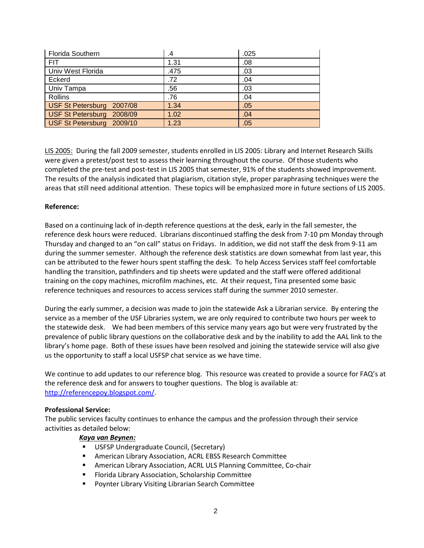| <b>Florida Southern</b>   | .4   | .025 |
|---------------------------|------|------|
| <b>FIT</b>                | 1.31 | .08  |
| Univ West Florida         | .475 | .03  |
| Eckerd                    | .72  | .04  |
| Univ Tampa                | .56  | .03  |
| Rollins                   | .76  | .04  |
| USF St Petersburg 2007/08 | 1.34 | .05  |
| USF St Petersburg 2008/09 | 1.02 | .04  |
| USF St Petersburg 2009/10 | 1.23 | .05  |

LIS 2005: During the fall 2009 semester, students enrolled in LIS 2005: Library and Internet Research Skills were given a pretest/post test to assess their learning throughout the course. Of those students who completed the pre-test and post-test in LIS 2005 that semester, 91% of the students showed improvement. The results of the analysis indicated that plagiarism, citation style, proper paraphrasing techniques were the areas that still need additional attention. These topics will be emphasized more in future sections of LIS 2005.

## **Reference:**

Based on a continuing lack of in-depth reference questions at the desk, early in the fall semester, the reference desk hours were reduced. Librarians discontinued staffing the desk from 7-10 pm Monday through Thursday and changed to an "on call" status on Fridays. In addition, we did not staff the desk from 9-11 am during the summer semester. Although the reference desk statistics are down somewhat from last year, this can be attributed to the fewer hours spent staffing the desk. To help Access Services staff feel comfortable handling the transition, pathfinders and tip sheets were updated and the staff were offered additional training on the copy machines, microfilm machines, etc. At their request, Tina presented some basic reference techniques and resources to access services staff during the summer 2010 semester.

During the early summer, a decision was made to join the statewide Ask a Librarian service. By entering the service as a member of the USF Libraries system, we are only required to contribute two hours per week to the statewide desk. We had been members of this service many years ago but were very frustrated by the prevalence of public library questions on the collaborative desk and by the inability to add the AAL link to the library's home page. Both of these issues have been resolved and joining the statewide service will also give us the opportunity to staff a local USFSP chat service as we have time.

We continue to add updates to our reference blog. This resource was created to provide a source for FAQ's at the reference desk and for answers to tougher questions. The blog is available at: [http://referencepoy.blogspot.com/.](http://referencepoy.blogspot.com/)

## **Professional Service:**

The public services faculty continues to enhance the campus and the profession through their service activities as detailed below:

## *Kaya van Beynen:*

- **USFSP Undergraduate Council, (Secretary)**
- American Library Association, ACRL EBSS Research Committee
- American Library Association, ACRL ULS Planning Committee, Co-chair
- Florida Library Association, Scholarship Committee
- Poynter Library Visiting Librarian Search Committee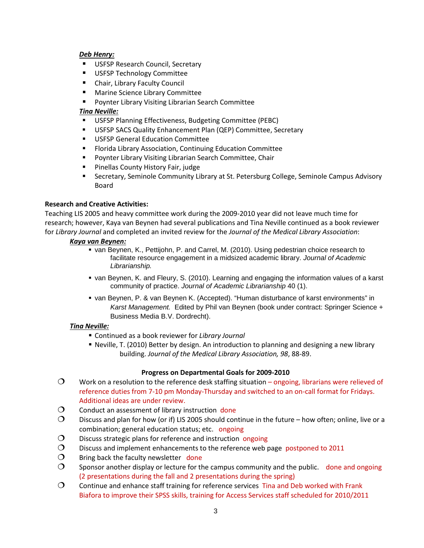## *Deb Henry:*

- **USFSP Research Council, Secretary**
- **USFSP Technology Committee**
- Chair, Library Faculty Council
- **Marine Science Library Committee**
- **Poynter Library Visiting Librarian Search Committee**

## *Tina Neville:*

- USFSP Planning Effectiveness, Budgeting Committee (PEBC)
- USFSP SACS Quality Enhancement Plan (QEP) Committee, Secretary
- USFSP General Education Committee
- Florida Library Association, Continuing Education Committee
- **Poynter Library Visiting Librarian Search Committee, Chair**
- Pinellas County History Fair, judge
- **Secretary, Seminole Community Library at St. Petersburg College, Seminole Campus Advisory** Board

## **Research and Creative Activities:**

Teaching LIS 2005 and heavy committee work during the 2009-2010 year did not leave much time for research; however, Kaya van Beynen had several publications and Tina Neville continued as a book reviewer for *Library Journal* and completed an invited review for the *Journal of the Medical Library Association*:

## *Kaya van Beynen:*

- van Beynen, K., Pettijohn, P. and Carrel, M. (2010). Using pedestrian choice research to facilitate resource engagement in a midsized academic library. *Journal of Academic Librarianship.*
- van Beynen, K. and Fleury, S. (2010). Learning and engaging the information values of a karst community of practice. *Journal of Academic Librarianship* 40 (1).
- van Beynen, P. & van Beynen K. (Accepted). "Human disturbance of karst environments" in *Karst Management.* Edited by Phil van Beynen (book under contract: Springer Science + Business Media B.V. Dordrecht).

## *Tina Neville:*

- Continued as a book reviewer for *Library Journal*
- Neville, T. (2010) Better by design. An introduction to planning and designing a new library building. *Journal of the Medical Library Association, 98*, 88-89.

## **Progress on Departmental Goals for 2009-2010**

- $\mathcal{O}$  Work on a resolution to the reference desk staffing situation ongoing, librarians were relieved of reference duties from 7-10 pm Monday-Thursday and switched to an on-call format for Fridays. Additional ideas are under review.
- $\Omega$  Conduct an assessment of library instruction done
- $\bigcirc$  Discuss and plan for how (or if) LIS 2005 should continue in the future how often; online, live or a combination; general education status; etc. ongoing
- $\Omega$  Discuss strategic plans for reference and instruction ongoing
- $\bigcirc$  Discuss and implement enhancements to the reference web page postponed to 2011
- $\Omega$  Bring back the faculty newsletter done
- $\mathcal{O}$  Sponsor another display or lecture for the campus community and the public. done and ongoing (2 presentations during the fall and 2 presentations during the spring)
- $\Omega$  Continue and enhance staff training for reference services Tina and Deb worked with Frank Biafora to improve their SPSS skills, training for Access Services staff scheduled for 2010/2011